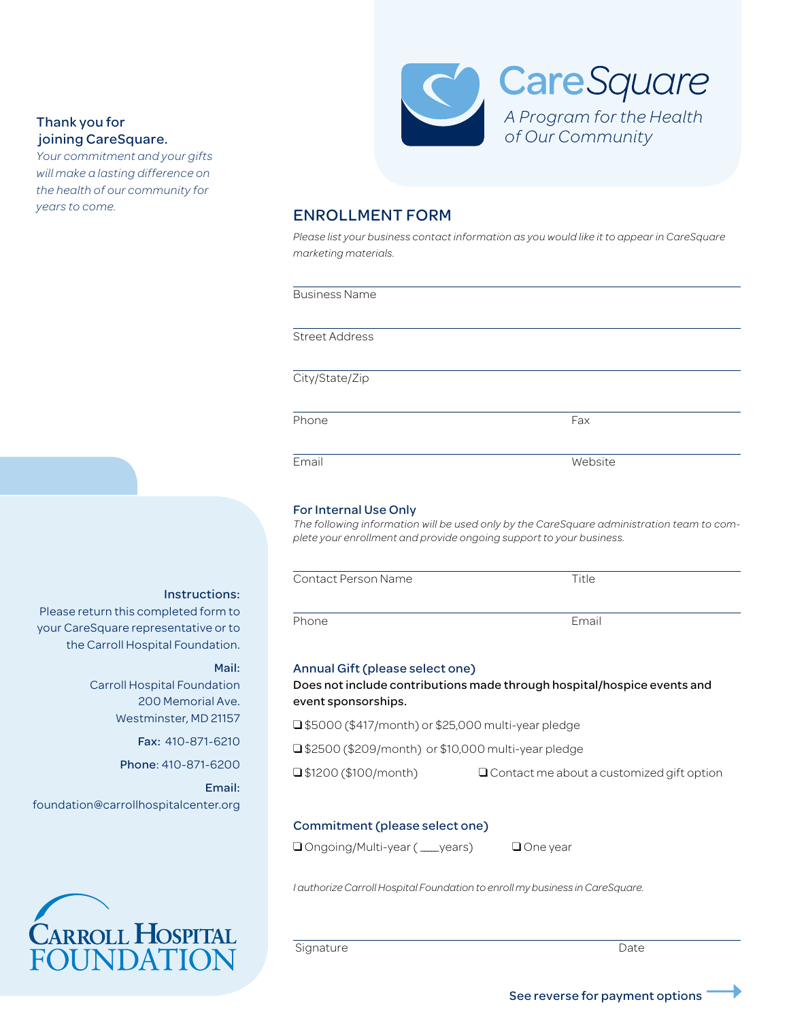## Thank you for joining CareSquare.

*Your commitment and your gifts will make a lasting difference on the health of our community for years to come.*



## ENROLLMENT FORM

*Please list your business contact information as you would like it to appear in CareSquare marketing materials.*

| <b>Street Address</b>                                                                                          |                                                                                                                                                                           |
|----------------------------------------------------------------------------------------------------------------|---------------------------------------------------------------------------------------------------------------------------------------------------------------------------|
| City/State/Zip                                                                                                 |                                                                                                                                                                           |
| Phone                                                                                                          | Fax                                                                                                                                                                       |
| Email                                                                                                          | Website                                                                                                                                                                   |
| For Internal Use Only<br>Contact Person Name                                                                   | The following information will be used only by the CareSquare administration team to com-<br>plete your enrollment and provide ongoing support to your business.<br>Title |
|                                                                                                                |                                                                                                                                                                           |
| Phone                                                                                                          | Email                                                                                                                                                                     |
|                                                                                                                |                                                                                                                                                                           |
| Annual Gift (please select one)<br>event sponsorships.<br>□ \$5000 (\$417/month) or \$25,000 multi-year pledge | Does not include contributions made through hospital/hospice events and                                                                                                   |
| □ \$2500 (\$209/month) or \$10,000 multi-year pledge                                                           |                                                                                                                                                                           |
|                                                                                                                |                                                                                                                                                                           |

*I authorize Carroll Hospital Foundation to enroll my business in CareSquare.* 

Signature Date Date Date

# Instructions:

Please return this completed form to your CareSquare representative or to the Carroll Hospital Foundation.

#### Mail:

Carroll Hospital Foundation 200 Memorial Ave. Westminster, MD 21157

Fax: 410-871-6210

Phone: 410-871-6200

Email: foundation@carrollhospitalcenter.org